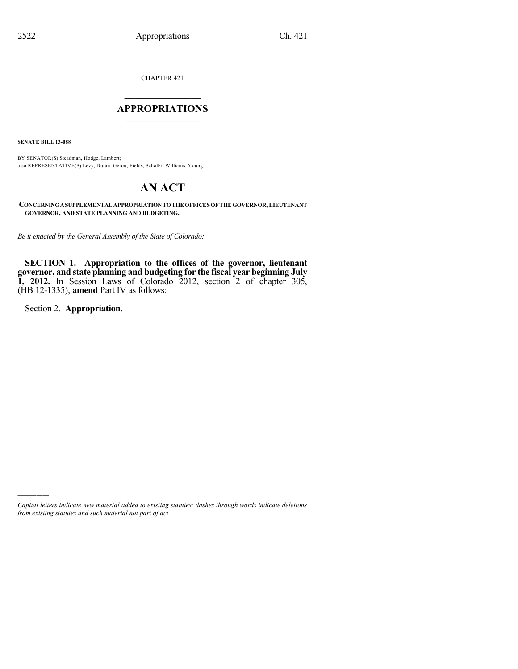CHAPTER 421

# $\overline{\phantom{a}}$  . The set of the set of the set of the set of the set of the set of the set of the set of the set of the set of the set of the set of the set of the set of the set of the set of the set of the set of the set o **APPROPRIATIONS**  $\_$   $\_$   $\_$   $\_$   $\_$   $\_$   $\_$   $\_$

**SENATE BILL 13-088**

BY SENATOR(S) Steadman, Hodge, Lambert; also REPRESENTATIVE(S) Levy, Duran, Gerou, Fields, Schafer, Williams, Young.

# **AN ACT**

**CONCERNINGASUPPLEMENTAL APPROPRIATIONTOTHE OFFICESOF THE GOVERNOR,LIEUTENANT GOVERNOR, AND STATE PLANNING AND BUDGETING.**

*Be it enacted by the General Assembly of the State of Colorado:*

**SECTION 1. Appropriation to the offices of the governor, lieutenant governor, and state planning and budgeting for the fiscal year beginning July 1, 2012.** In Session Laws of Colorado 2012, section 2 of chapter 305, (HB 12-1335), **amend** Part IV as follows:

Section 2. **Appropriation.**

)))))

*Capital letters indicate new material added to existing statutes; dashes through words indicate deletions from existing statutes and such material not part of act.*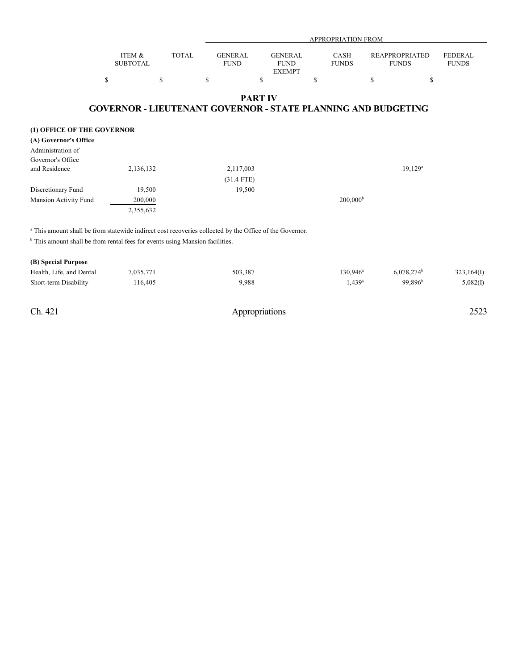|                                                                                                                    |                           |              |                               |                                                | <b>APPROPRIATION FROM</b> |                                                                      |                                |
|--------------------------------------------------------------------------------------------------------------------|---------------------------|--------------|-------------------------------|------------------------------------------------|---------------------------|----------------------------------------------------------------------|--------------------------------|
|                                                                                                                    | ITEM &<br><b>SUBTOTAL</b> | <b>TOTAL</b> | <b>GENERAL</b><br><b>FUND</b> | <b>GENERAL</b><br><b>FUND</b><br><b>EXEMPT</b> | CASH<br><b>FUNDS</b>      | <b>REAPPROPRIATED</b><br><b>FUNDS</b>                                | <b>FEDERAL</b><br><b>FUNDS</b> |
|                                                                                                                    | \$                        | \$           | \$                            | $\mathbf S$                                    | \$                        | \$<br>\$                                                             |                                |
|                                                                                                                    |                           |              |                               | <b>PART IV</b>                                 |                           | <b>GOVERNOR - LIEUTENANT GOVERNOR - STATE PLANNING AND BUDGETING</b> |                                |
| (1) OFFICE OF THE GOVERNOR                                                                                         |                           |              |                               |                                                |                           |                                                                      |                                |
| (A) Governor's Office                                                                                              |                           |              |                               |                                                |                           |                                                                      |                                |
| Administration of                                                                                                  |                           |              |                               |                                                |                           |                                                                      |                                |
| Governor's Office                                                                                                  |                           |              |                               |                                                |                           |                                                                      |                                |
| and Residence                                                                                                      | 2,136,132                 |              | 2,117,003                     |                                                |                           | $19,129^a$                                                           |                                |
|                                                                                                                    |                           |              | $(31.4$ FTE)                  |                                                |                           |                                                                      |                                |
| Discretionary Fund                                                                                                 | 19,500                    |              | 19,500                        |                                                |                           |                                                                      |                                |
| Mansion Activity Fund                                                                                              | 200,000                   |              |                               |                                                | 200,000 <sup>b</sup>      |                                                                      |                                |
|                                                                                                                    | 2,355,632                 |              |                               |                                                |                           |                                                                      |                                |
| <sup>a</sup> This amount shall be from statewide indirect cost recoveries collected by the Office of the Governor. |                           |              |                               |                                                |                           |                                                                      |                                |
| <sup>b</sup> This amount shall be from rental fees for events using Mansion facilities.                            |                           |              |                               |                                                |                           |                                                                      |                                |
| (B) Special Purpose                                                                                                |                           |              |                               |                                                |                           |                                                                      |                                |
| Health, Life, and Dental                                                                                           | 7,035,771                 |              | 503,387                       |                                                | 130,946 <sup>a</sup>      | 6,078,274 <sup>b</sup>                                               | 323,164(I)                     |

Short-term Disability 116,405 9,988 9,988 1,439<sup>a</sup> 99,896<sup>b</sup> 5,082(I)

 $99,896^b$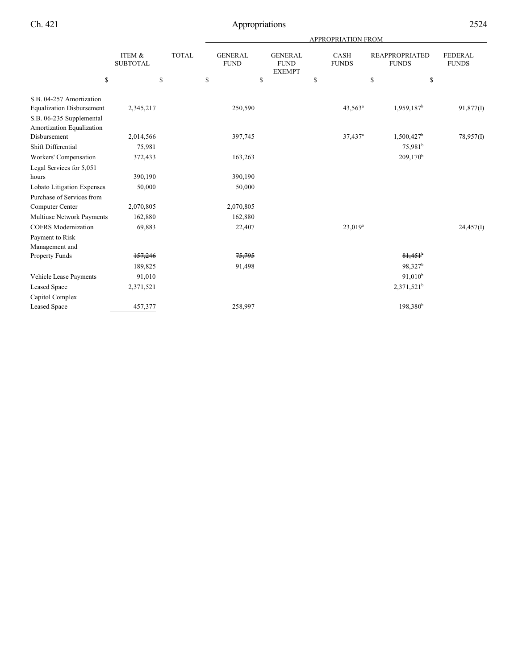|                                  |                           |              | APPROPRIATION FROM            |                                                |    |                             |                                       |                                |  |
|----------------------------------|---------------------------|--------------|-------------------------------|------------------------------------------------|----|-----------------------------|---------------------------------------|--------------------------------|--|
|                                  | ITEM &<br><b>SUBTOTAL</b> | <b>TOTAL</b> | <b>GENERAL</b><br><b>FUND</b> | <b>GENERAL</b><br><b>FUND</b><br><b>EXEMPT</b> |    | <b>CASH</b><br><b>FUNDS</b> | <b>REAPPROPRIATED</b><br><b>FUNDS</b> | <b>FEDERAL</b><br><b>FUNDS</b> |  |
| \$                               |                           | \$           | \$                            | \$                                             | \$ |                             | $\mathbf S$                           | \$                             |  |
| S.B. 04-257 Amortization         |                           |              |                               |                                                |    |                             |                                       |                                |  |
| <b>Equalization Disbursement</b> | 2,345,217                 |              | 250,590                       |                                                |    | $43,563^a$                  | 1,959,187 <sup>b</sup>                | 91,877(I)                      |  |
| S.B. 06-235 Supplemental         |                           |              |                               |                                                |    |                             |                                       |                                |  |
| Amortization Equalization        |                           |              |                               |                                                |    |                             |                                       |                                |  |
| Disbursement                     | 2,014,566                 |              | 397,745                       |                                                |    | $37,437$ <sup>a</sup>       | $1,500,427$ <sup>b</sup>              | 78,957(I)                      |  |
| Shift Differential               | 75,981                    |              |                               |                                                |    |                             | 75,981 <sup>b</sup>                   |                                |  |
| Workers' Compensation            | 372,433                   |              | 163,263                       |                                                |    |                             | $209,170^b$                           |                                |  |
| Legal Services for 5,051         |                           |              |                               |                                                |    |                             |                                       |                                |  |
| hours                            | 390,190                   |              | 390,190                       |                                                |    |                             |                                       |                                |  |
| Lobato Litigation Expenses       | 50,000                    |              | 50,000                        |                                                |    |                             |                                       |                                |  |
| Purchase of Services from        |                           |              |                               |                                                |    |                             |                                       |                                |  |
| Computer Center                  | 2,070,805                 |              | 2,070,805                     |                                                |    |                             |                                       |                                |  |
| Multiuse Network Payments        | 162,880                   |              | 162,880                       |                                                |    |                             |                                       |                                |  |
| <b>COFRS</b> Modernization       | 69,883                    |              | 22,407                        |                                                |    | $23,019^a$                  |                                       | 24,457(I)                      |  |
| Payment to Risk                  |                           |              |                               |                                                |    |                             |                                       |                                |  |
| Management and                   |                           |              |                               |                                                |    |                             |                                       |                                |  |
| Property Funds                   | 157,246                   |              | 75,795                        |                                                |    |                             | $81,451$ <sup>b</sup>                 |                                |  |
|                                  | 189,825                   |              | 91,498                        |                                                |    |                             | 98,327 <sup>b</sup>                   |                                |  |
| Vehicle Lease Payments           | 91,010                    |              |                               |                                                |    |                             | 91,010 <sup>b</sup>                   |                                |  |
| <b>Leased Space</b>              | 2,371,521                 |              |                               |                                                |    |                             | $2,371,521^b$                         |                                |  |
| Capitol Complex                  |                           |              |                               |                                                |    |                             |                                       |                                |  |
| <b>Leased Space</b>              | 457,377                   |              | 258,997                       |                                                |    |                             | 198,380 <sup>b</sup>                  |                                |  |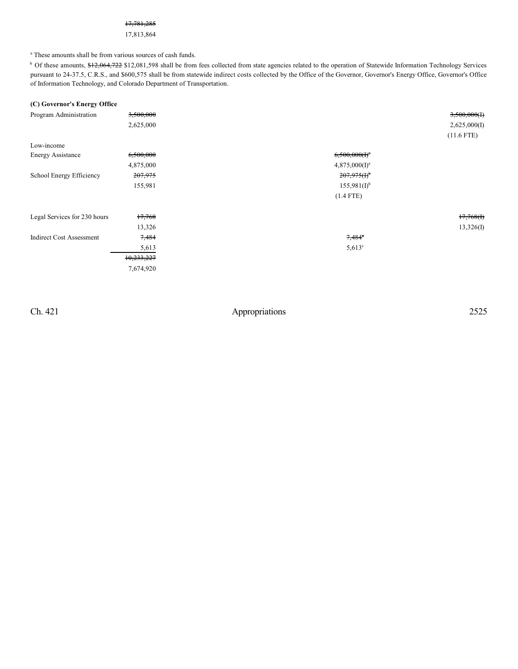#### 17,781,285

#### 17,813,864

<sup>a</sup> These amounts shall be from various sources of cash funds.

<sup>b</sup> Of these amounts, \$12,064,722 \$12,081,598 shall be from fees collected from state agencies related to the operation of Statewide Information Technology Services pursuant to 24-37.5, C.R.S., and \$600,575 shall be from statewide indirect costs collected by the Office of the Governor, Governor's Energy Office, Governor's Office of Information Technology, and Colorado Department of Transportation.

| (C) Governor's Energy Office    |                  |                           |              |
|---------------------------------|------------------|---------------------------|--------------|
| Program Administration          | 3,500,000        |                           | 3,500,000(1) |
|                                 | 2,625,000        |                           | 2,625,000(I) |
|                                 |                  |                           | $(11.6$ FTE) |
| Low-income                      |                  |                           |              |
| <b>Energy Assistance</b>        | 6,500,000        | $6,500,000(f)^a$          |              |
|                                 | 4,875,000        | $4,875,000(I)^a$          |              |
| School Energy Efficiency        | 207,975          | $207,975(f)$ <sup>b</sup> |              |
|                                 | 155,981          | $155,981(I)^{b}$          |              |
|                                 |                  | $(1.4$ FTE)               |              |
| Legal Services for 230 hours    | 17,768           |                           | 17,768(f)    |
|                                 | 13,326           |                           | 13,326(I)    |
| <b>Indirect Cost Assessment</b> | <del>7,484</del> | $7,484^\circ$             |              |
|                                 | 5,613            | $5,613^{\circ}$           |              |
|                                 | 10,233,227       |                           |              |
|                                 | 7,674,920        |                           |              |
|                                 |                  |                           |              |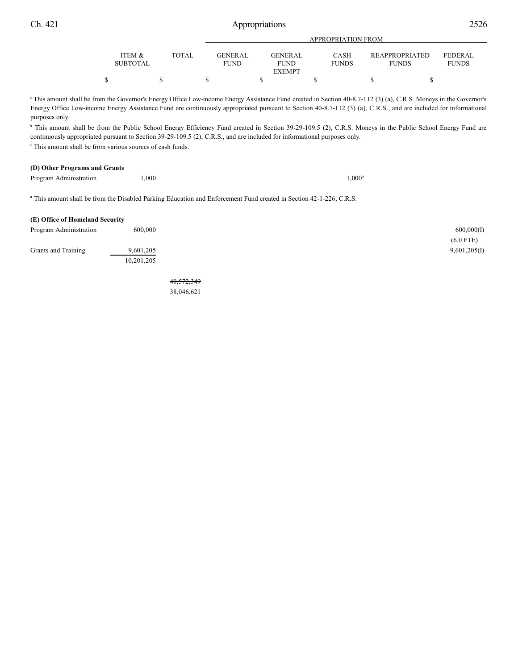|                                      |        |                                | <b>APPROPRIATION FROM</b>     |                             |                                |                                |  |  |
|--------------------------------------|--------|--------------------------------|-------------------------------|-----------------------------|--------------------------------|--------------------------------|--|--|
| <b>ITEM &amp;</b><br><b>SUBTOTAL</b> | TOTAL. | <b>GENER AL</b><br><b>FUND</b> | <b>GENERAL</b><br><b>FUND</b> | <b>CASH</b><br><b>FUNDS</b> | REAPPROPRIATED<br><b>FUNDS</b> | <b>FEDERAL</b><br><b>FUNDS</b> |  |  |
|                                      |        |                                | <b>EXEMPT</b>                 |                             |                                |                                |  |  |
|                                      |        |                                |                               |                             |                                |                                |  |  |

<sup>a</sup> This amount shall be from the Governor's Energy Office Low-income Energy Assistance Fund created in Section 40-8.7-112 (3) (a), C.R.S. Moneys in the Governor's Energy Office Low-income Energy Assistance Fund are continuously appropriated pursuant to Section 40-8.7-112 (3) (a), C.R.S., and are included for informational purposes only.

<sup>b</sup> This amount shall be from the Public School Energy Efficiency Fund created in Section 39-29-109.5 (2), C.R.S. Moneys in the Public School Energy Fund are continuously appropriated pursuant to Section 39-29-109.5 (2), C.R.S., and are included for informational purposes only.

 $\degree$  This amount shall be from various sources of cash funds.

# **(D) Other Programs and Grants**

| Program Administration | 0.000 |  | .000 |  |
|------------------------|-------|--|------|--|
|------------------------|-------|--|------|--|

 $1,000^a$ 

<sup>a</sup> This amount shall be from the Disabled Parking Education and Enforcement Fund created in Section 42-1-226, C.R.S.

| (E) Office of Homeland Security |            |  |
|---------------------------------|------------|--|
| Program Administration          | 600,000    |  |
|                                 |            |  |
| Grants and Training             | 9,601,205  |  |
|                                 | 10,201,205 |  |

40,572,349 38,046,621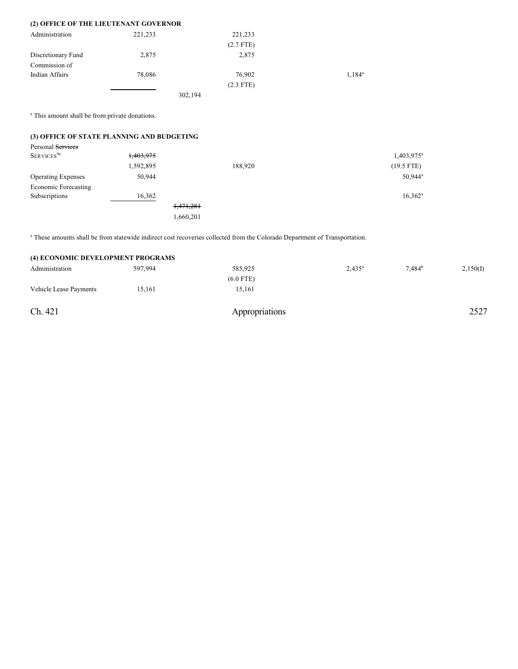| (2) OFFICE OF THE LIEUTENANT GOVERNOR |         |             |           |
|---------------------------------------|---------|-------------|-----------|
| Administration                        | 221.233 | 221,233     |           |
|                                       |         | $(2.7$ FTE) |           |
| Discretionary Fund                    | 2,875   | 2,875       |           |
| Commission of                         |         |             |           |
| Indian Affairs                        | 78,086  | 76,902      | $1.184^a$ |
|                                       |         | $(2.3$ FTE) |           |
|                                       | .       |             |           |

302,194

<sup>a</sup> This amount shall be from private donations.

# **(3) OFFICE OF STATE PLANNING AND BUDGETING**

| Personal Services         |           |           |         |                     |
|---------------------------|-----------|-----------|---------|---------------------|
| SERVICES <sup>9a</sup>    | 1,403,975 |           |         | $1,403,975^{\circ}$ |
|                           | 1,592,895 |           | 188,920 | $(19.5$ FTE)        |
| <b>Operating Expenses</b> | 50,944    |           |         | 50,944 <sup>a</sup> |
| Economic Forecasting      |           |           |         |                     |
| Subscriptions             | 16,362    |           |         | $16,362^a$          |
|                           |           | 1,471,281 |         |                     |
|                           |           | 1,660,201 |         |                     |

<sup>a</sup> These amounts shall be from statewide indirect cost recoveries collected from the Colorado Department of Transportation.

| (4) ECONOMIC DEVELOPMENT PROGRAMS |         |                |           |                    |          |
|-----------------------------------|---------|----------------|-----------|--------------------|----------|
| Administration                    | 597,994 | 585,925        | $2,435^a$ | 7.484 <sup>b</sup> | 2,150(I) |
|                                   |         | $(6.0$ FTE)    |           |                    |          |
| Vehicle Lease Payments            | 15.161  | 15,161         |           |                    |          |
|                                   |         |                |           |                    |          |
| Ch. 421                           |         | Appropriations |           |                    | 2527     |
|                                   |         |                |           |                    |          |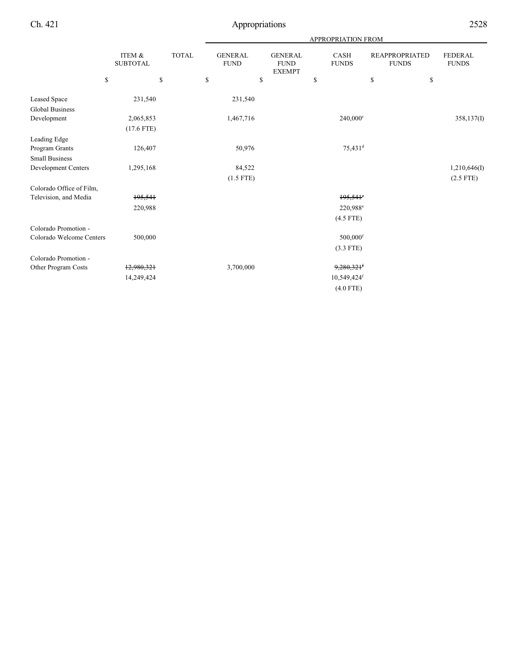|                          |                           |              | <b>APPROPRIATION FROM</b>     |                                                |    |                             |                                       |                         |  |
|--------------------------|---------------------------|--------------|-------------------------------|------------------------------------------------|----|-----------------------------|---------------------------------------|-------------------------|--|
|                          | ITEM &<br><b>SUBTOTAL</b> | <b>TOTAL</b> | <b>GENERAL</b><br><b>FUND</b> | <b>GENERAL</b><br><b>FUND</b><br><b>EXEMPT</b> |    | <b>CASH</b><br><b>FUNDS</b> | <b>REAPPROPRIATED</b><br><b>FUNDS</b> | FEDERAL<br><b>FUNDS</b> |  |
|                          | \$                        | \$           | \$                            | \$                                             | \$ |                             | \$<br>\$                              |                         |  |
| Leased Space             | 231,540                   |              | 231,540                       |                                                |    |                             |                                       |                         |  |
| <b>Global Business</b>   |                           |              |                               |                                                |    |                             |                                       |                         |  |
| Development              | 2,065,853                 |              | 1,467,716                     |                                                |    | 240,000°                    |                                       | 358,137(I)              |  |
|                          | $(17.6$ FTE)              |              |                               |                                                |    |                             |                                       |                         |  |
| Leading Edge             |                           |              |                               |                                                |    |                             |                                       |                         |  |
| Program Grants           | 126,407                   |              | 50,976                        |                                                |    | 75,431 <sup>d</sup>         |                                       |                         |  |
| <b>Small Business</b>    |                           |              |                               |                                                |    |                             |                                       |                         |  |
| Development Centers      | 1,295,168                 |              | 84,522                        |                                                |    |                             |                                       | 1,210,646(I)            |  |
|                          |                           |              | $(1.5$ FTE)                   |                                                |    |                             |                                       | $(2.5$ FTE)             |  |
| Colorado Office of Film, |                           |              |                               |                                                |    |                             |                                       |                         |  |
| Television, and Media    | 195,541                   |              |                               |                                                |    | $195,541$ °                 |                                       |                         |  |
|                          | 220,988                   |              |                               |                                                |    | 220,988 <sup>e</sup>        |                                       |                         |  |
|                          |                           |              |                               |                                                |    | $(4.5$ FTE)                 |                                       |                         |  |
| Colorado Promotion -     |                           |              |                               |                                                |    |                             |                                       |                         |  |
| Colorado Welcome Centers | 500,000                   |              |                               |                                                |    | $500,000$ <sup>f</sup>      |                                       |                         |  |
|                          |                           |              |                               |                                                |    | $(3.3$ FTE)                 |                                       |                         |  |
| Colorado Promotion -     |                           |              |                               |                                                |    |                             |                                       |                         |  |
| Other Program Costs      | 12,980,321                |              | 3,700,000                     |                                                |    | 9,280,321                   |                                       |                         |  |
|                          | 14,249,424                |              |                               |                                                |    | 10,549,424f                 |                                       |                         |  |
|                          |                           |              |                               |                                                |    | $(4.0$ FTE)                 |                                       |                         |  |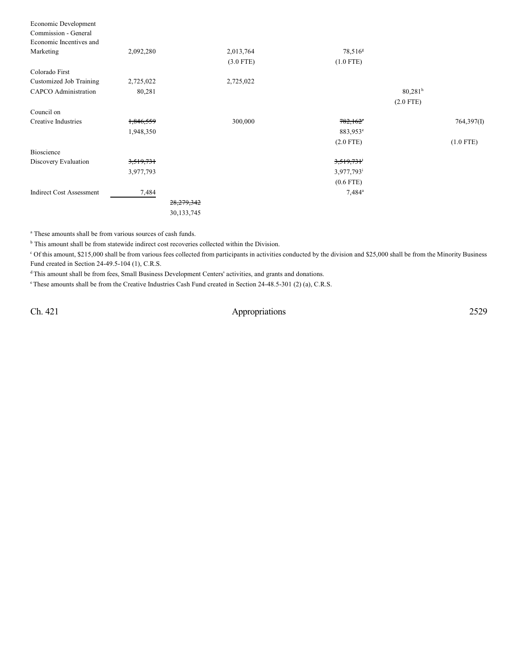| Economic Development            |           |              |             |                        |                       |             |
|---------------------------------|-----------|--------------|-------------|------------------------|-----------------------|-------------|
| Commission - General            |           |              |             |                        |                       |             |
| Economic Incentives and         |           |              |             |                        |                       |             |
| Marketing                       | 2,092,280 |              | 2,013,764   | 78,516 <sup>g</sup>    |                       |             |
|                                 |           |              | $(3.0$ FTE) | $(1.0$ FTE)            |                       |             |
| Colorado First                  |           |              |             |                        |                       |             |
| Customized Job Training         | 2,725,022 |              | 2,725,022   |                        |                       |             |
| CAPCO Administration            | 80,281    |              |             |                        | $80,281$ <sup>h</sup> |             |
|                                 |           |              |             |                        | $(2.0$ FTE)           |             |
| Council on                      |           |              |             |                        |                       |             |
| Creative Industries             | 1,846,559 |              | 300,000     | $782,162$ <sup>*</sup> |                       | 764,397(I)  |
|                                 | 1,948,350 |              |             | 883,953 <sup>e</sup>   |                       |             |
|                                 |           |              |             | $(2.0$ FTE)            |                       | $(1.0$ FTE) |
| Bioscience                      |           |              |             |                        |                       |             |
| Discovery Evaluation            | 3,519,731 |              |             | 3,519,731              |                       |             |
|                                 | 3,977,793 |              |             | 3,977,793 <sup>i</sup> |                       |             |
|                                 |           |              |             | $(0.6$ FTE)            |                       |             |
| <b>Indirect Cost Assessment</b> | 7,484     |              |             | $7,484^{\circ}$        |                       |             |
|                                 |           | 28, 279, 342 |             |                        |                       |             |
|                                 |           | 30,133,745   |             |                        |                       |             |
|                                 |           |              |             |                        |                       |             |

<sup>a</sup> These amounts shall be from various sources of cash funds.

 $<sup>b</sup>$  This amount shall be from statewide indirect cost recoveries collected within the Division.</sup>

Of this amount, \$215,000 shall be from various fees collected from participants in activities conducted by the division and \$25,000 shall be from the Minority Business <sup>c</sup> Fund created in Section 24-49.5-104 (1), C.R.S.

<sup>d</sup>This amount shall be from fees, Small Business Development Centers' activities, and grants and donations.

<sup>e</sup> These amounts shall be from the Creative Industries Cash Fund created in Section 24-48.5-301 (2) (a), C.R.S.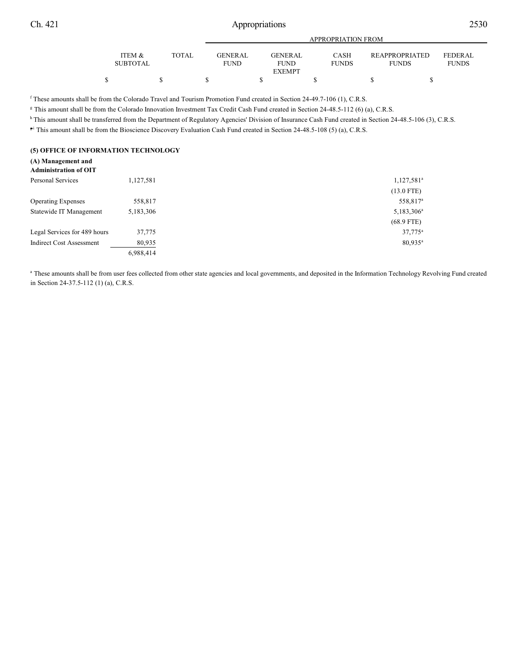| I |  |
|---|--|

|                 |        |                | APPROPRIATION FROM |              |                       |                |  |
|-----------------|--------|----------------|--------------------|--------------|-----------------------|----------------|--|
|                 |        |                |                    |              |                       |                |  |
| ITEM &          | TOTAL. | <b>GENERAL</b> | <b>GENERAL</b>     | <b>CASH</b>  | <b>REAPPROPRIATED</b> | <b>FEDERAL</b> |  |
| <b>SUBTOTAL</b> |        | <b>FUND</b>    | <b>FUND</b>        | <b>FUNDS</b> | <b>FUNDS</b>          | <b>FUNDS</b>   |  |
|                 |        |                | <b>EXEMPT</b>      |              |                       |                |  |
|                 |        |                |                    |              |                       |                |  |

<sup>f</sup> These amounts shall be from the Colorado Travel and Tourism Promotion Fund created in Section 24-49.7-106 (1), C.R.S.

<sup>g</sup> This amount shall be from the Colorado Innovation Investment Tax Credit Cash Fund created in Section 24-48.5-112 (6) (a), C.R.S.

<sup>h</sup> This amount shall be transferred from the Department of Regulatory Agencies' Division of Insurance Cash Fund created in Section 24-48.5-106 (3), C.R.S.

<sup>5</sup> This amount shall be from the Bioscience Discovery Evaluation Cash Fund created in Section 24-48.5-108 (5) (a), C.R.S.

## **(5) OFFICE OF INFORMATION TECHNOLOGY**

#### **(A) Management and Administration of OIT**

| Personal Services               | 1,127,581 | 1,127,581 <sup>a</sup> |
|---------------------------------|-----------|------------------------|
|                                 |           | $(13.0$ FTE)           |
| <b>Operating Expenses</b>       | 558,817   | 558,817 <sup>a</sup>   |
| Statewide IT Management         | 5,183,306 | 5,183,306 <sup>a</sup> |
|                                 |           | $(68.9$ FTE)           |
| Legal Services for 489 hours    | 37,775    | $37,775^{\rm a}$       |
| <b>Indirect Cost Assessment</b> | 80,935    | $80,935$ <sup>a</sup>  |
|                                 | 6,988,414 |                        |
|                                 |           |                        |

<sup>a</sup> These amounts shall be from user fees collected from other state agencies and local governments, and deposited in the Information Technology Revolving Fund created in Section 24-37.5-112 (1) (a), C.R.S.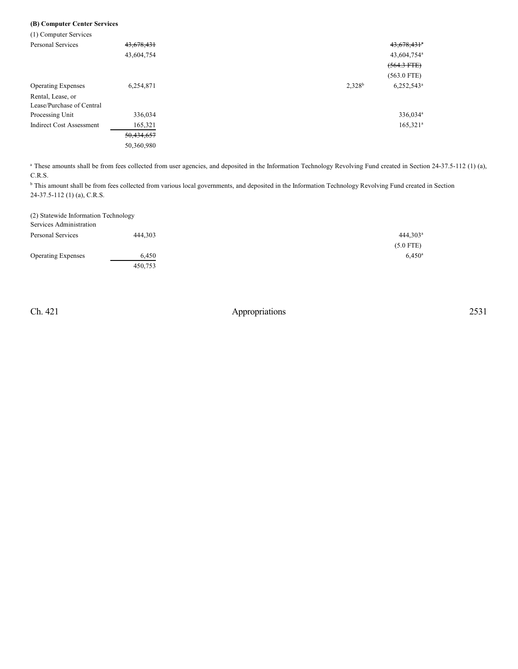# **(B) Computer Center Services**

| (1) Computer Services           |            |           |                         |
|---------------------------------|------------|-----------|-------------------------|
| <b>Personal Services</b>        | 43,678,431 |           | 43,678,431*             |
|                                 | 43,604,754 |           | 43,604,754 <sup>a</sup> |
|                                 |            |           | $(564.3 + FEE)$         |
|                                 |            |           | $(563.0$ FTE)           |
| <b>Operating Expenses</b>       | 6,254,871  | $2,328^b$ | $6,252,543^a$           |
| Rental, Lease, or               |            |           |                         |
| Lease/Purchase of Central       |            |           |                         |
| Processing Unit                 | 336,034    |           | 336,034 <sup>a</sup>    |
| <b>Indirect Cost Assessment</b> | 165,321    |           | $165,321^a$             |
|                                 | 50,434,657 |           |                         |
|                                 | 50,360,980 |           |                         |

<sup>a</sup> These amounts shall be from fees collected from user agencies, and deposited in the Information Technology Revolving Fund created in Section 24-37.5-112 (1) (a), C.R.S.

<sup>b</sup> This amount shall be from fees collected from various local governments, and deposited in the Information Technology Revolving Fund created in Section 24-37.5-112 (1) (a), C.R.S.

| (2) Statewide Information Technology<br>Services Administration |         |                 |
|-----------------------------------------------------------------|---------|-----------------|
| Personal Services                                               | 444.303 | $444,303^a$     |
|                                                                 |         | $(5.0$ FTE)     |
| <b>Operating Expenses</b>                                       | 6.450   | $6,450^{\rm a}$ |
|                                                                 | 450,753 |                 |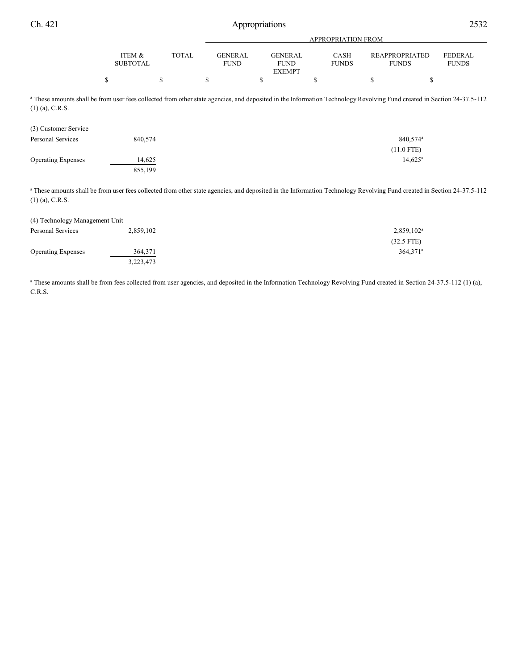|                 |       |                | APPROPRIATION FROM |              |                |              |
|-----------------|-------|----------------|--------------------|--------------|----------------|--------------|
| ITEM &          | TOTAL | <b>GENERAL</b> | GENERAL            | <b>CASH</b>  | REAPPROPRIATED | FEDERAL      |
|                 |       |                |                    |              |                |              |
| <b>SUBTOTAL</b> |       | <b>FUND</b>    | <b>FUND</b>        | <b>FUNDS</b> | <b>FUNDS</b>   | <b>FUNDS</b> |
|                 |       |                | <b>EXEMPT</b>      |              |                |              |
|                 |       |                |                    |              |                |              |

<sup>a</sup> These amounts shall be from user fees collected from other state agencies, and deposited in the Information Technology Revolving Fund created in Section 24-37.5-112 (1) (a), C.R.S.

| (3) Customer Service      |         |                      |
|---------------------------|---------|----------------------|
| Personal Services         | 840,574 | 840,574 <sup>a</sup> |
|                           |         | $(11.0$ FTE)         |
| <b>Operating Expenses</b> | 14,625  | $14,625^{\circ}$     |
|                           | 855,199 |                      |

<sup>a</sup> These amounts shall be from user fees collected from other state agencies, and deposited in the Information Technology Revolving Fund created in Section 24-37.5-112 (1) (a), C.R.S.

| (4) Technology Management Unit |           |                        |
|--------------------------------|-----------|------------------------|
| Personal Services              | 2,859,102 | 2,859,102 <sup>a</sup> |
|                                |           | $(32.5$ FTE)           |
| <b>Operating Expenses</b>      | 364,371   | $364.371^a$            |
|                                | 3,223,473 |                        |

<sup>a</sup> These amounts shall be from fees collected from user agencies, and deposited in the Information Technology Revolving Fund created in Section 24-37.5-112 (1) (a), C.R.S.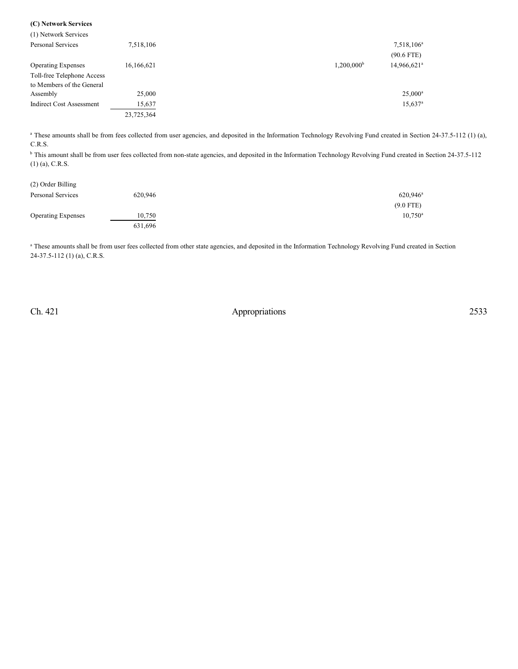| (1) Network Services            |            |                     |                         |
|---------------------------------|------------|---------------------|-------------------------|
| <b>Personal Services</b>        | 7,518,106  |                     | 7,518,106 <sup>a</sup>  |
|                                 |            |                     | $(90.6$ FTE)            |
| <b>Operating Expenses</b>       | 16,166,621 | $1,200,000^{\rm b}$ | 14,966,621 <sup>a</sup> |
| Toll-free Telephone Access      |            |                     |                         |
| to Members of the General       |            |                     |                         |
| Assembly                        | 25,000     |                     | $25,000^a$              |
| <b>Indirect Cost Assessment</b> | 15,637     |                     | $15,637$ <sup>a</sup>   |
|                                 | 23,725,364 |                     |                         |

<sup>a</sup> These amounts shall be from fees collected from user agencies, and deposited in the Information Technology Revolving Fund created in Section 24-37.5-112 (1) (a), C.R.S.

<sup>b</sup> This amount shall be from user fees collected from non-state agencies, and deposited in the Information Technology Revolving Fund created in Section 24-37.5-112 (1) (a), C.R.S.

| (2) Order Billing         |         |                   |
|---------------------------|---------|-------------------|
| Personal Services         | 620.946 | $620,946^{\rm a}$ |
|                           |         | $(9.0$ FTE)       |
| <b>Operating Expenses</b> | 10,750  | $10,750^a$        |
|                           | 631,696 |                   |

<sup>a</sup> These amounts shall be from user fees collected from other state agencies, and deposited in the Information Technology Revolving Fund created in Section 24-37.5-112 (1) (a), C.R.S.

**(C) Network Services**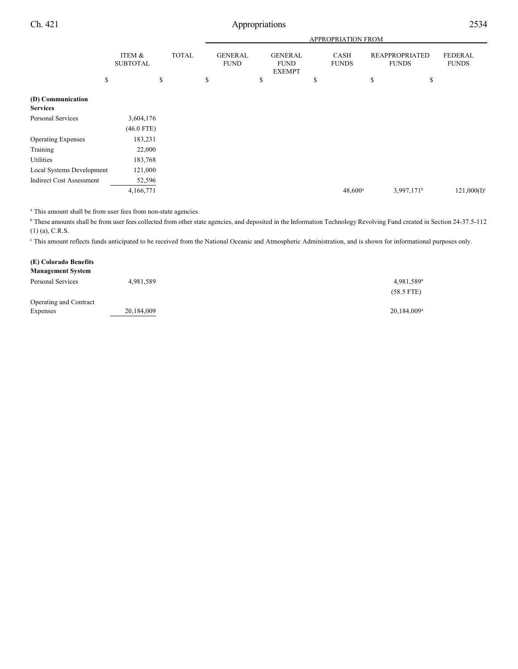|                                      |                           |              |                               |                                                | <b>APPROPRIATION FROM</b>   |                                |                                |
|--------------------------------------|---------------------------|--------------|-------------------------------|------------------------------------------------|-----------------------------|--------------------------------|--------------------------------|
|                                      | ITEM &<br><b>SUBTOTAL</b> | <b>TOTAL</b> | <b>GENERAL</b><br><b>FUND</b> | <b>GENERAL</b><br><b>FUND</b><br><b>EXEMPT</b> | <b>CASH</b><br><b>FUNDS</b> | REAPPROPRIATED<br><b>FUNDS</b> | <b>FEDERAL</b><br><b>FUNDS</b> |
| \$                                   |                           | \$           | \$                            | \$                                             | \$                          | \$<br>\$                       |                                |
| (D) Communication<br><b>Services</b> |                           |              |                               |                                                |                             |                                |                                |
| Personal Services                    | 3,604,176                 |              |                               |                                                |                             |                                |                                |
|                                      | $(46.0$ FTE)              |              |                               |                                                |                             |                                |                                |
| <b>Operating Expenses</b>            | 183,231                   |              |                               |                                                |                             |                                |                                |
| Training                             | 22,000                    |              |                               |                                                |                             |                                |                                |
| Utilities                            | 183,768                   |              |                               |                                                |                             |                                |                                |
| Local Systems Development            | 121,000                   |              |                               |                                                |                             |                                |                                |
| <b>Indirect Cost Assessment</b>      | 52,596                    |              |                               |                                                |                             |                                |                                |
|                                      | 4,166,771                 |              |                               |                                                | $48,600^a$                  | $3,997,171^b$                  | $121,000(I)^c$                 |

<sup>a</sup> This amount shall be from user fees from non-state agencies.

<sup>b</sup> These amounts shall be from user fees collected from other state agencies, and deposited in the Information Technology Revolving Fund created in Section 24-37.5-112 (1) (a), C.R.S.

This amount reflects funds anticipated to be received from the National Oceanic and Atmospheric Administration, and is shown for informational purposes only.

| (E) Colorado Benefits    |            |                         |
|--------------------------|------------|-------------------------|
| <b>Management System</b> |            |                         |
| Personal Services        | 4,981,589  | 4,981,589 <sup>a</sup>  |
|                          |            | $(58.5$ FTE)            |
| Operating and Contract   |            |                         |
| Expenses                 | 20,184,009 | 20,184,009 <sup>a</sup> |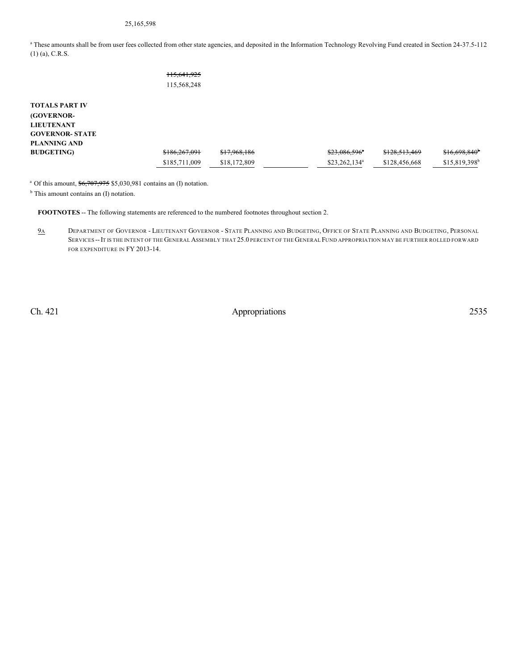# 25,165,598

<sup>a</sup> These amounts shall be from user fees collected from other state agencies, and deposited in the Information Technology Revolving Fund created in Section 24-37.5-112 (1) (a), C.R.S.

|                        | 115,641,925<br>115,568,248 |              |                 |               |                            |
|------------------------|----------------------------|--------------|-----------------|---------------|----------------------------|
| <b>TOTALS PART IV</b>  |                            |              |                 |               |                            |
|                        |                            |              |                 |               |                            |
| (GOVERNOR-             |                            |              |                 |               |                            |
| <b>LIEUTENANT</b>      |                            |              |                 |               |                            |
| <b>GOVERNOR- STATE</b> |                            |              |                 |               |                            |
| <b>PLANNING AND</b>    |                            |              |                 |               |                            |
| <b>BUDGETING</b> )     | \$186,267,091              | \$17,968,186 | \$23,086,596"   | \$128,513,469 | \$16,698,840               |
|                        | \$185,711,009              | \$18,172,809 | $$23,262,134^a$ | \$128,456,668 | $$15,819,398$ <sup>b</sup> |

<sup>a</sup> Of this amount,  $\frac{$6,707,975}{$5,030,981}$  contains an (I) notation.

<sup>b</sup> This amount contains an (I) notation.

**FOOTNOTES** -- The following statements are referenced to the numbered footnotes throughout section 2.

9A DEPARTMENT OF GOVERNOR - LIEUTENANT GOVERNOR - STATE PLANNING AND BUDGETING, OFFICE OF STATE PLANNING AND BUDGETING, PERSONAL SERVICES --IT IS THE INTENT OF THE GENERAL ASSEMBLY THAT 25.0 PERCENT OF THE GENERAL FUND APPROPRIATION MAY BE FURTHER ROLLED FORWARD FOR EXPENDITURE IN FY 2013-14.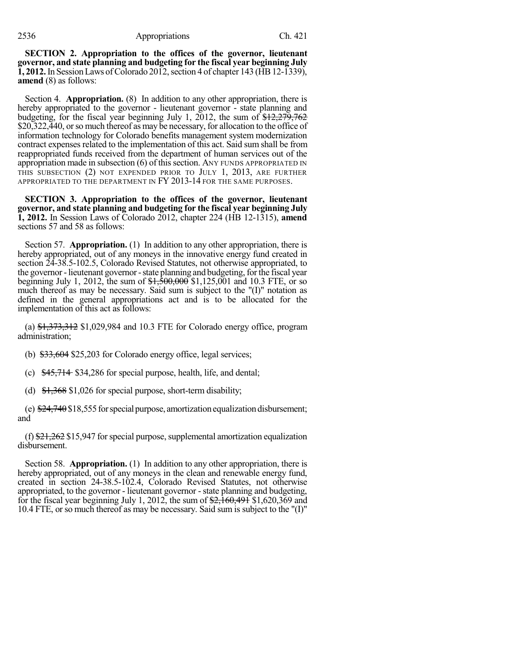### 2536 Appropriations Ch. 421

**SECTION 2. Appropriation to the offices of the governor, lieutenant governor, and state planning and budgeting for the fiscal year beginning July 1, 2012.** In Session Laws of Colorado 2012, section 4 of chapter 143 (HB 12-1339), **amend** (8) as follows:

Section 4. **Appropriation.** (8) In addition to any other appropriation, there is hereby appropriated to the governor - lieutenant governor - state planning and budgeting, for the fiscal year beginning July 1, 2012, the sum of  $\frac{$12,279,762}{2}$ \$20,322,440, or so much thereof as may be necessary, for allocation to the office of information technology for Colorado benefits management system modernization contract expenses related to the implementation of this act. Said sum shall be from reappropriated funds received from the department of human services out of the appropriation made in subsection  $(6)$  of this section. ANY FUNDS APPROPRIATED IN THIS SUBSECTION (2) NOT EXPENDED PRIOR TO JULY 1, 2013, ARE FURTHER APPROPRIATED TO THE DEPARTMENT IN FY 2013-14 FOR THE SAME PURPOSES.

**SECTION 3. Appropriation to the offices of the governor, lieutenant governor, and state planning and budgeting for the fiscal year beginning July 1, 2012.** In Session Laws of Colorado 2012, chapter 224 (HB 12-1315), **amend** sections 57 and 58 as follows:

Section 57. **Appropriation.** (1) In addition to any other appropriation, there is hereby appropriated, out of any moneys in the innovative energy fund created in section 24-38.5-102.5, Colorado Revised Statutes, not otherwise appropriated, to the governor - lieutenant governor - state planning and budgeting, for the fiscal year beginning July 1, 2012, the sum of  $\frac{$1,500,000}{$1,125,001}$  and 10.3 FTE, or so much thereof as may be necessary. Said sum is subject to the "(I)" notation as defined in the general appropriations act and is to be allocated for the implementation of this act as follows:

(a)  $\frac{1}{273,312}$  \$1,029,984 and 10.3 FTE for Colorado energy office, program administration;

(b)  $*33,604$  \$25,203 for Colorado energy office, legal services;

(c) \$45,714 \$34,286 for special purpose, health, life, and dental;

(d)  $\frac{1,368}{1,026}$  for special purpose, short-term disability;

(e)  $\frac{124}{740}$ \$18,555 for special purpose, amortization equalization disbursement; and

(f)  $\frac{21,262 \, \text{S}}{21,262 \, \text{S}}$  15,947 for special purpose, supplemental amortization equalization disbursement.

Section 58. **Appropriation.** (1) In addition to any other appropriation, there is hereby appropriated, out of any moneys in the clean and renewable energy fund, created in section 24-38.5-102.4, Colorado Revised Statutes, not otherwise appropriated, to the governor - lieutenant governor - state planning and budgeting, for the fiscal year beginning July 1, 2012, the sum of  $\frac{2,160,491}{2,162,369}$  and 10.4 FTE, or so much thereof as may be necessary. Said sum is subject to the "(I)"